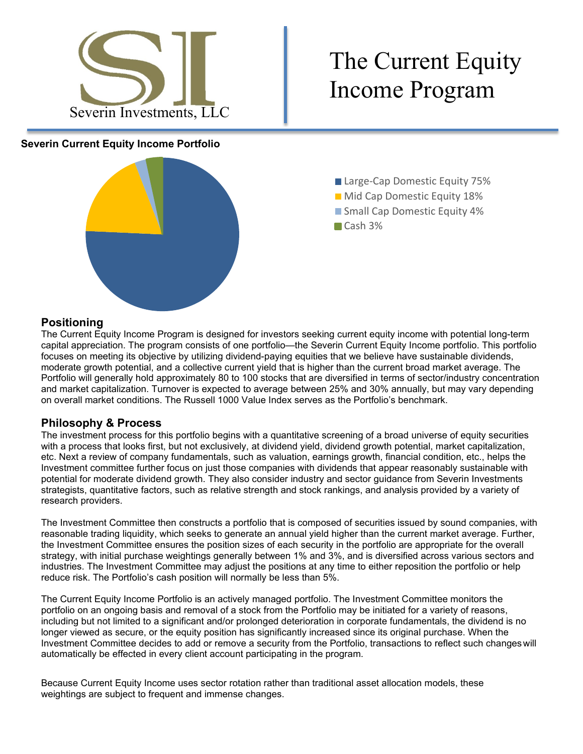

# The Current Equity

### **Severin Current Equity Income Portfolio**



- Large-Cap Domestic Equity 75%
- **Mid Cap Domestic Equity 18%**
- Small Cap Domestic Equity 4%
- Cash 3%

# **Positioning**

The Current Equity Income Program is designed for investors seeking current equity income with potential long-term capital appreciation. The program consists of one portfolio—the Severin Current Equity Income portfolio. This portfolio focuses on meeting its objective by utilizing dividend-paying equities that we believe have sustainable dividends, moderate growth potential, and a collective current yield that is higher than the current broad market average. The Portfolio will generally hold approximately 80 to 100 stocks that are diversified in terms of sector/industry concentration and market capitalization. Turnover is expected to average between 25% and 30% annually, but may vary depending on overall market conditions. The Russell 1000 Value Index serves as the Portfolio's benchmark.

## **Philosophy & Process**

The investment process for this portfolio begins with a quantitative screening of a broad universe of equity securities with a process that looks first, but not exclusively, at dividend yield, dividend growth potential, market capitalization, etc. Next a review of company fundamentals, such as valuation, earnings growth, financial condition, etc., helps the Investment committee further focus on just those companies with dividends that appear reasonably sustainable with potential for moderate dividend growth. They also consider industry and sector guidance from Severin Investments strategists, quantitative factors, such as relative strength and stock rankings, and analysis provided by a variety of research providers.

The Investment Committee then constructs a portfolio that is composed of securities issued by sound companies, with reasonable trading liquidity, which seeks to generate an annual yield higher than the current market average. Further, the Investment Committee ensures the position sizes of each security in the portfolio are appropriate for the overall strategy, with initial purchase weightings generally between 1% and 3%, and is diversified across various sectors and industries. The Investment Committee may adjust the positions at any time to either reposition the portfolio or help reduce risk. The Portfolio's cash position will normally be less than 5%.

The Current Equity Income Portfolio is an actively managed portfolio. The Investment Committee monitors the portfolio on an ongoing basis and removal of a stock from the Portfolio may be initiated for a variety of reasons, including but not limited to a significant and/or prolonged deterioration in corporate fundamentals, the dividend is no longer viewed as secure, or the equity position has significantly increased since its original purchase. When the Investment Committee decides to add or remove a security from the Portfolio, transactions to reflect such changeswill automatically be effected in every client account participating in the program.

Because Current Equity Income uses sector rotation rather than traditional asset allocation models, these weightings are subject to frequent and immense changes.